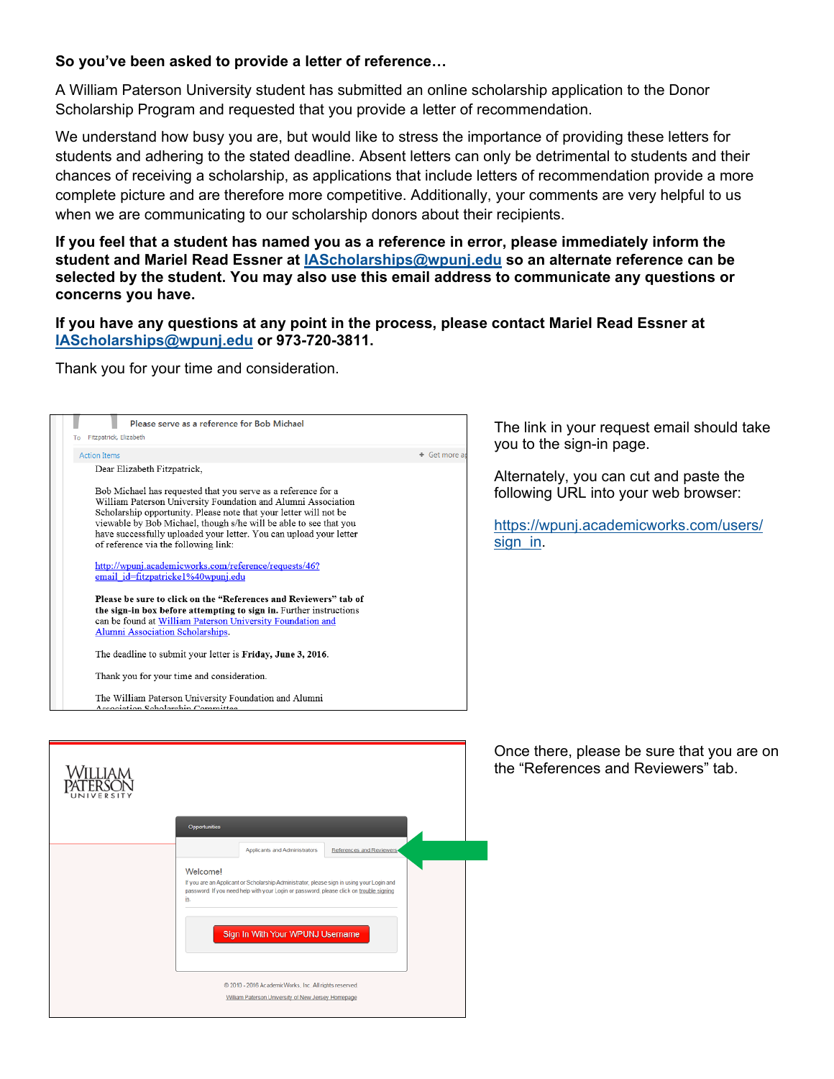## **So you've been asked to provide a letter of reference…**

A William Paterson University student has submitted an online scholarship application to the Donor Scholarship Program and requested that you provide a letter of recommendation.

We understand how busy you are, but would like to stress the importance of providing these letters for students and adhering to the stated deadline. Absent letters can only be detrimental to students and their chances of receiving a scholarship, as applications that include letters of recommendation provide a more complete picture and are therefore more competitive. Additionally, your comments are very helpful to us when we are communicating to our scholarship donors about their recipients.

**If you feel that a student has named you as a reference in error, please immediately inform the student and Mariel Read Essner at IAScholarships@wpunj.edu so an alternate reference can be selected by the student. You may also use this email address to communicate any questions or concerns you have.** 

## **If you have any questions at any point in the process, please contact Mariel Read Essner at IAScholarships@wpunj.edu or 973-720-3811.**

Thank you for your time and consideration.

| Please serve as a reference for Bob Michael<br>Fitzpatrick, Elizabeth<br>To                                                                                                                                                                                                                                                                                                                                                                                                                                                                                                                                                                                                                                                                                                                                                                                                                                                 | The link in your request email should take<br>you to the sign-in page.                                                               |
|-----------------------------------------------------------------------------------------------------------------------------------------------------------------------------------------------------------------------------------------------------------------------------------------------------------------------------------------------------------------------------------------------------------------------------------------------------------------------------------------------------------------------------------------------------------------------------------------------------------------------------------------------------------------------------------------------------------------------------------------------------------------------------------------------------------------------------------------------------------------------------------------------------------------------------|--------------------------------------------------------------------------------------------------------------------------------------|
| + Get more a<br><b>Action Items</b><br>Dear Elizabeth Fitzpatrick,<br>Bob Michael has requested that you serve as a reference for a<br>William Paterson University Foundation and Alumni Association<br>Scholarship opportunity. Please note that your letter will not be<br>viewable by Bob Michael, though s/he will be able to see that you<br>have successfully uploaded your letter. You can upload your letter<br>of reference via the following link:<br>http://wpunj.academicworks.com/reference/requests/46?<br>email id=fitzpatricke1%40wpunj.edu<br>Please be sure to click on the "References and Reviewers" tab of<br>the sign-in box before attempting to sign in. Further instructions<br>can be found at William Paterson University Foundation and<br><b>Alumni Association Scholarships.</b><br>The deadline to submit your letter is Friday, June 3, 2016.<br>Thank you for your time and consideration. | Alternately, you can cut and paste the<br>following URL into your web browser:<br>https://wpunj.academicworks.com/users/<br>sign in. |
| The William Paterson University Foundation and Alumni<br>Accoriation Coholarchin Committee<br>Opportunities<br>Applicants and Administrators<br>References and Reviewers<br>Welcome!<br>If you are an Applicant or Scholarship Administrator, please sign in using your Login and<br>password. If you need help with your Login or password, please click on trouble signing<br>in<br>Sign In With Your WPUNJ Username<br>@ 2010 - 2016 AcademicWorks, Inc. All rights reserved                                                                                                                                                                                                                                                                                                                                                                                                                                             | Once there, please be sure that you are on<br>the "References and Reviewers" tab.                                                    |
| William Paterson University of New Jersey Homepage                                                                                                                                                                                                                                                                                                                                                                                                                                                                                                                                                                                                                                                                                                                                                                                                                                                                          |                                                                                                                                      |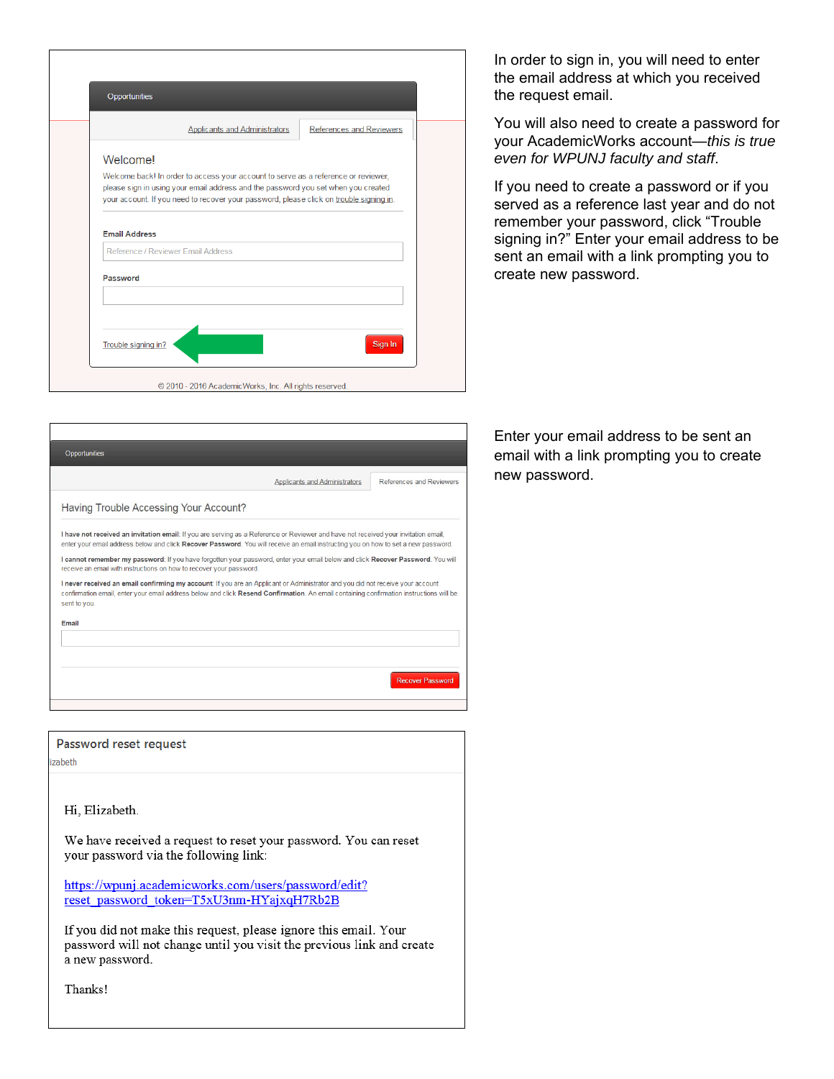| Welcome!<br>Welcome back! In order to access your account to serve as a reference or reviewer,<br>please sign in using your email address and the password you set when you created |  |
|-------------------------------------------------------------------------------------------------------------------------------------------------------------------------------------|--|
|                                                                                                                                                                                     |  |
|                                                                                                                                                                                     |  |
|                                                                                                                                                                                     |  |
| your account. If you need to recover your password, please click on trouble signing in.                                                                                             |  |
| Reference / Reviewer Email Address                                                                                                                                                  |  |
| Password                                                                                                                                                                            |  |
|                                                                                                                                                                                     |  |

In order to sign in, you will need to enter the email address at which you received the request email.

You will also need to create a password for your AcademicWorks account—*this is true even for WPUNJ faculty and staff*.

If you need to create a password or if you served as a reference last year and do not remember your password, click "Trouble signing in?" Enter your email address to be sent an email with a link prompting you to create new password.

| Opportunities                                                                                                                                                                                                                                                                             |                          |
|-------------------------------------------------------------------------------------------------------------------------------------------------------------------------------------------------------------------------------------------------------------------------------------------|--------------------------|
| Applicants and Administrators                                                                                                                                                                                                                                                             | References and Reviewers |
| Having Trouble Accessing Your Account?                                                                                                                                                                                                                                                    |                          |
| I have not received an invitation email: If you are serving as a Reference or Reviewer and have not received your invitation email,<br>enter your email address below and click Recover Password. You will receive an email instructing you on how to set a new password.                 |                          |
| I cannot remember my password: If you have forgotten your password, enter your email below and click Recover Password. You will<br>receive an email with instructions on how to recover your password.                                                                                    |                          |
| I never received an email confirming my account: If you are an Applicant or Administrator and you did not receive your account<br>confirmation email, enter your email address below and click Resend Confirmation. An email containing confirmation instructions will be<br>sent to you. |                          |
| Email                                                                                                                                                                                                                                                                                     |                          |
|                                                                                                                                                                                                                                                                                           |                          |
|                                                                                                                                                                                                                                                                                           |                          |
|                                                                                                                                                                                                                                                                                           | <b>Recover Password</b>  |
|                                                                                                                                                                                                                                                                                           |                          |

Password reset request

izabeth

Hi, Elizabeth.

We have received a request to reset your password. You can reset your password via the following link:

https://wpunj.academicworks.com/users/password/edit? reset\_password\_token=T5xU3nm-HYajxqH7Rb2B

If you did not make this request, please ignore this email. Your password will not change until you visit the previous link and create a new password.

Thanks!

Enter your email address to be sent an email with a link prompting you to create new password.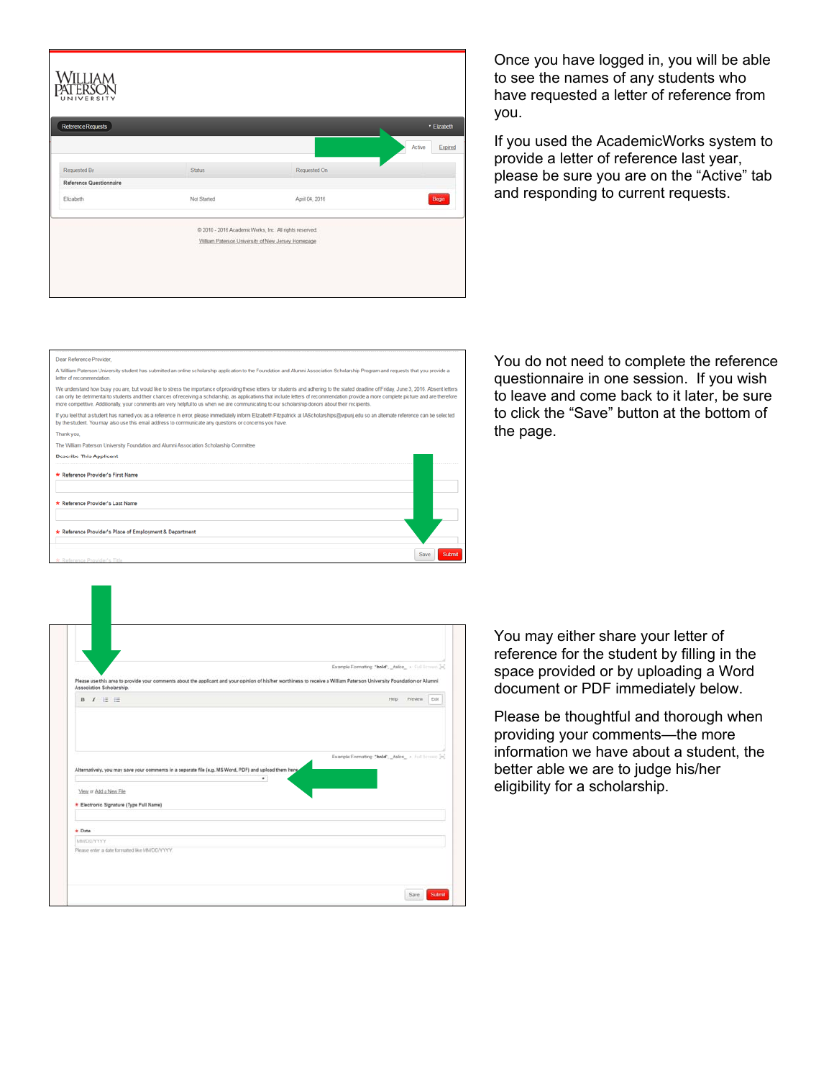| <b>WILLIAM</b><br>PATERSON                  |               |                                                                                                               |                   |
|---------------------------------------------|---------------|---------------------------------------------------------------------------------------------------------------|-------------------|
| <b>Reference Requests</b>                   |               |                                                                                                               | * Elizabeth       |
| Requested By                                | <b>Status</b> | Requested On                                                                                                  | Expired<br>Active |
| <b>Reference Questionnaire</b><br>Elizabeth | Not Started   | April 04, 2016                                                                                                | Begin             |
|                                             |               | C 2010 - 2016 Academic Works, Inc. All rights reserved.<br>William Paterson University of New Jersey Homepage |                   |
|                                             |               |                                                                                                               |                   |

Once you have logged in, you will be able to see the names of any students who have requested a letter of reference from you.

If you used the AcademicWorks system to provide a letter of reference last year, please be sure you are on the "Active" tab and responding to current requests.

You do not need to complete the reference questionnaire in one session. If you wish to leave and come back to it later, be sure to click the "Save" button at the bottom of the page.

| A William Paterson University student has submitted an online scholarship application to the Foundation and Alumni Association Scholarship Program and requests that you provide a<br>letter of recommendation.<br>We understand how busy you are, but would like to stress the importance of providing these letters for students and adhering to the stated deadline of Friday, June 3, 2016. Absent letters<br>can only be detrimental to students and their chances of receiving a scholarship, as applications that include letters of recommendation provide a more complete picture and are therefore<br>more competitive. Additionally, your comments are very helpful to us when we are communicating to our scholarship donors about their recipients.<br>If you feel that a student has named you as a reference in error, please immediately inform Elizabeth Fitzpatrick at IAScholarships@wpuni.edu so an alternate reference can be selected<br>by the student. You may also use this email address to communicate any questions or concerns you have.<br>Thank you.<br>The William Paterson University Foundation and Alumni Association Scholarship Committee<br><b>Describe This Applicant</b><br>* Reference Provider's First Name<br>* Reference Provider's Last Name<br>* Reference Provider's Place of Employment & Department |  |
|------------------------------------------------------------------------------------------------------------------------------------------------------------------------------------------------------------------------------------------------------------------------------------------------------------------------------------------------------------------------------------------------------------------------------------------------------------------------------------------------------------------------------------------------------------------------------------------------------------------------------------------------------------------------------------------------------------------------------------------------------------------------------------------------------------------------------------------------------------------------------------------------------------------------------------------------------------------------------------------------------------------------------------------------------------------------------------------------------------------------------------------------------------------------------------------------------------------------------------------------------------------------------------------------------------------------------------------------------|--|
|                                                                                                                                                                                                                                                                                                                                                                                                                                                                                                                                                                                                                                                                                                                                                                                                                                                                                                                                                                                                                                                                                                                                                                                                                                                                                                                                                      |  |
|                                                                                                                                                                                                                                                                                                                                                                                                                                                                                                                                                                                                                                                                                                                                                                                                                                                                                                                                                                                                                                                                                                                                                                                                                                                                                                                                                      |  |
|                                                                                                                                                                                                                                                                                                                                                                                                                                                                                                                                                                                                                                                                                                                                                                                                                                                                                                                                                                                                                                                                                                                                                                                                                                                                                                                                                      |  |
|                                                                                                                                                                                                                                                                                                                                                                                                                                                                                                                                                                                                                                                                                                                                                                                                                                                                                                                                                                                                                                                                                                                                                                                                                                                                                                                                                      |  |
|                                                                                                                                                                                                                                                                                                                                                                                                                                                                                                                                                                                                                                                                                                                                                                                                                                                                                                                                                                                                                                                                                                                                                                                                                                                                                                                                                      |  |
|                                                                                                                                                                                                                                                                                                                                                                                                                                                                                                                                                                                                                                                                                                                                                                                                                                                                                                                                                                                                                                                                                                                                                                                                                                                                                                                                                      |  |
|                                                                                                                                                                                                                                                                                                                                                                                                                                                                                                                                                                                                                                                                                                                                                                                                                                                                                                                                                                                                                                                                                                                                                                                                                                                                                                                                                      |  |
|                                                                                                                                                                                                                                                                                                                                                                                                                                                                                                                                                                                                                                                                                                                                                                                                                                                                                                                                                                                                                                                                                                                                                                                                                                                                                                                                                      |  |
|                                                                                                                                                                                                                                                                                                                                                                                                                                                                                                                                                                                                                                                                                                                                                                                                                                                                                                                                                                                                                                                                                                                                                                                                                                                                                                                                                      |  |
|                                                                                                                                                                                                                                                                                                                                                                                                                                                                                                                                                                                                                                                                                                                                                                                                                                                                                                                                                                                                                                                                                                                                                                                                                                                                                                                                                      |  |
|                                                                                                                                                                                                                                                                                                                                                                                                                                                                                                                                                                                                                                                                                                                                                                                                                                                                                                                                                                                                                                                                                                                                                                                                                                                                                                                                                      |  |
| Submit<br>Save                                                                                                                                                                                                                                                                                                                                                                                                                                                                                                                                                                                                                                                                                                                                                                                                                                                                                                                                                                                                                                                                                                                                                                                                                                                                                                                                       |  |
| * Reference Provider's Title                                                                                                                                                                                                                                                                                                                                                                                                                                                                                                                                                                                                                                                                                                                                                                                                                                                                                                                                                                                                                                                                                                                                                                                                                                                                                                                         |  |

|                          |                        |                                         |                                                                                                                                                                        |   | Example Formatting: "bold", _dalcs_ + Full fictions [in] |      |         |      |
|--------------------------|------------------------|-----------------------------------------|------------------------------------------------------------------------------------------------------------------------------------------------------------------------|---|----------------------------------------------------------|------|---------|------|
|                          |                        |                                         | Please use this area to provide your comments about the applicant and your opinion of his/her worthiness to receive a William Paterson University Foundation or Alumni |   |                                                          |      |         |      |
| Association Scholarship. |                        |                                         |                                                                                                                                                                        |   |                                                          |      |         |      |
|                          | $B$ $I$ $E$ $E$        |                                         |                                                                                                                                                                        |   |                                                          | Help | Preview | Edit |
|                          |                        |                                         | Alternatively, you may save your comments in a separate file (e.g. MS Word, PDF) and upload them here                                                                  | ٠ | Example Formating: "bold", _halcs + Full fictions [m]    |      |         |      |
|                          | View or Add a New File | * Electronic Signature (Type Full Name) |                                                                                                                                                                        |   |                                                          |      |         |      |
| * Date                   |                        |                                         |                                                                                                                                                                        |   |                                                          |      |         |      |
| <b>MMDD/YYYY</b>         |                        |                                         |                                                                                                                                                                        |   |                                                          |      |         |      |

You may either share your letter of reference for the student by filling in the space provided or by uploading a Word document or PDF immediately below.

Please be thoughtful and thorough when providing your comments—the more information we have about a student, the better able we are to judge his/her eligibility for a scholarship.